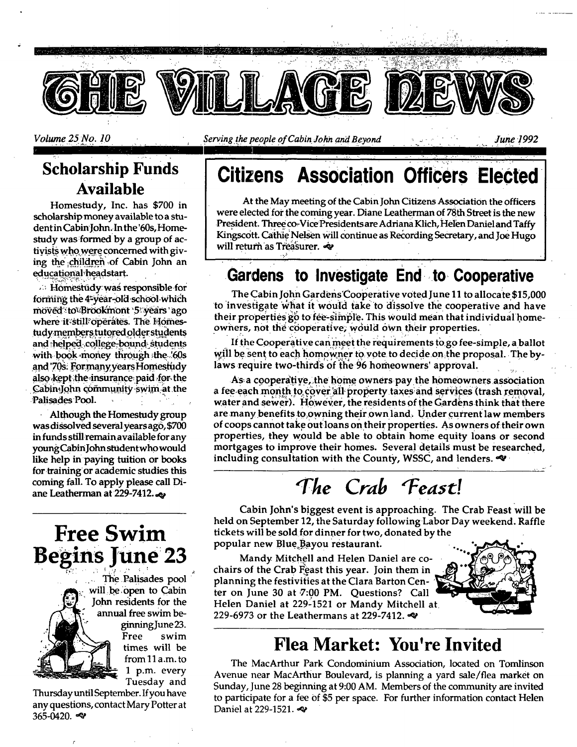

Volume 25 No. 10

Serving the people of Cabin John and Beyond

## **Scholarship Funds Available**

Homestudy, Inc. has \$700 in scholarship money available to a student in Cabin John. In the '60s, Homestudy was formed by a group of activists who were concerned with giving the children of Cabin John an educational headstart.

**Example 15 Except** Homestudy was responsible for forming the 4-year-old school which moved to Brookmont 5 years ago where it still operates. The Homestudy members tutored older students and helped college-bound students with book money through the '60s and '70s. Formany years Homestudy also kept the insurance paid for the Cabin-John community swim at the Palisades Pool.

Although the Homestudy group was dissolved several years ago, \$700 in funds still remain available for any young Cabin John student who would like help in paying tuition or books for training or academic studies this coming fall. To apply please call Diane Leatherman at 229-7412.

# **Free Swim Begins June 23**

The Palisades pool will be open to Cabin John residents for the annual free swim beginning June 23. Free swim times will be from 11 a.m. to 1 p.m. every Tuesday and

Thursday until September. If you have any questions, contact Mary Potter at 365-0420.

#### **Citizens Association Officers Elected**

At the May meeting of the Cabin John Citizens Association the officers were elected for the coming year. Diane Leatherman of 78th Street is the new President. Three co-Vice Presidents are Adriana Klich, Helen Daniel and Taffy Kingscott. Cathie Nelsen will continue as Recording Secretary, and Joe Hugo will return as Treasurer.

### Gardens to Investigate End to Cooperative

The Cabin John Gardens Cooperative voted June 11 to allocate \$15,000 to investigate what it would take to dissolve the cooperative and have their properties go to fee-simple. This would mean that individual homeowners, not the cooperative, would own their properties.

If the Cooperative can meet the requirements to go fee-simple, a ballot will be sent to each homowner to vote to decide on the proposal. The bylaws require two-thirds of the 96 homeowners' approval.

As a cooperative, the home owners pay the homeowners association a fee each month to cover all property taxes and services (trash removal, water and sewer). However, the residents of the Gardens think that there are many benefits to owning their own land. Under current law members of coops cannot take out loans on their properties. As owners of their own properties, they would be able to obtain home equity loans or second mortgages to improve their homes. Several details must be researched, including consultation with the County, WSSC, and lenders.

# The Crab Feast!

Cabin John's biggest event is approaching. The Crab Feast will be held on September 12, the Saturday following Labor Day weekend. Raffle tickets will be sold for dinner for two, donated by the popular new Blue Bayou restaurant.

Mandy Mitchell and Helen Daniel are cochairs of the Crab Feast this year. Join them in planning the festivities at the Clara Barton Center on June 30 at 7:00 PM. Questions? Call Helen Daniel at 229-1521 or Mandy Mitchell at 229-6973 or the Leathermans at 229-7412.



## **Flea Market: You're Invited**

The MacArthur Park Condominium Association, located on Tomlinson Avenue near MacArthur Boulevard, is planning a yard sale/flea market on Sunday, June 28 beginning at 9:00 AM. Members of the community are invited to participate for a fee of \$5 per space. For further information contact Helen Daniel at 229-1521.

June 1992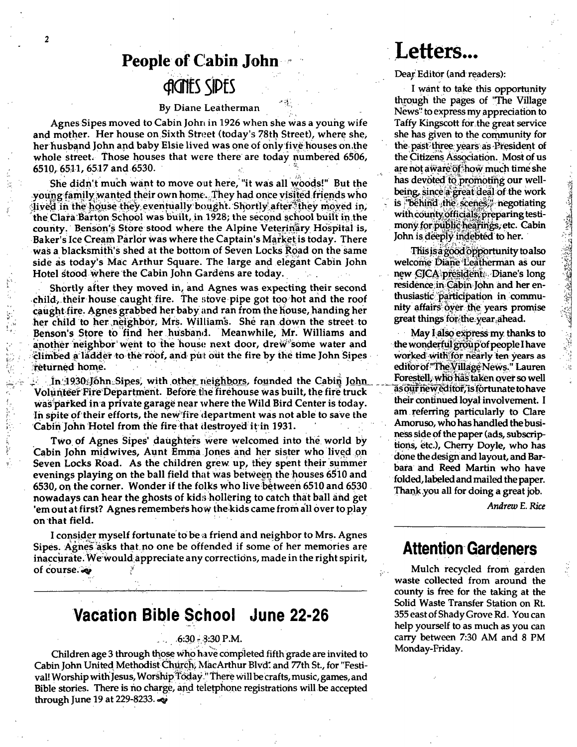## **People of Cabin John CONTES SIDES**

#### By Diane Leatherman

Agnes Sipes moved to Cabin John in 1926 when she was a young wife and mother. Her house on Sixth Street (today's 78th Street), where she, her husband John and baby Elsie lived was one of only five houses on the whole street. Those houses that were there are today numbered 6506, 6510, 6511, 6517 and 6530.

She didn't much want to move out here, "it was all woods!" But the young family wanted their own home. They had once visited friends who lived in the house they eventually bought. Shortly after they moved in, the Clara Barton School was built, in 1928; the second school built in the county. Benson's Store stood where the Alpine Veterinary Hospital is, Baker's Ice Cream Parlor was where the Captain's Market is today. There was a blacksmith's shed at the bottom of Seven Locks Road on the same side as today's Mac Arthur Square. The large and elegant Cabin John Hotel stood where the Cabin John Gardens are today.

Shortly after they moved in, and Agnes was expecting their second child, their house caught fire. The stove pipe got too hot and the roof caught fire. Agnes grabbed her baby and ran from the house, handing her her child to her neighbor, Mrs. Williams. She ran down the street to Benson's Store to find her husband. Meanwhile, Mr. Williams and another neighbor went to the house next door, drew some water and climbed a ladder to the roof, and put out the fire by the time John Sipes returned home.

In 1930 John Sipes, with other neighbors, founded the Cabin John Volunteer Fire Department. Before the firehouse was built, the fire truck was parked in a private garage near where the Wild Bird Center is today. In spite of their efforts, the new fire department was not able to save the Cabin John Hotel from the fire that destroyed it in 1931.

Two of Agnes Sipes' daughters were welcomed into the world by Cabin John midwives, Aunt Emma Jones and her sister who lived on Seven Locks Road. As the children grew up, they spent their summer evenings playing on the ball field that was between the houses 6510 and 6530, on the corner. Wonder if the folks who live between 6510 and 6530 nowadays can hear the ghosts of kids hollering to catch that ball and get 'em out at first? Agnes remembers how the kids came from all over to play on that field.

I consider myself fortunate to be a friend and neighbor to Mrs. Agnes Sipes. Agnes asks that no one be offended if some of her memories are inaccurate. We would appreciate any corrections, made in the right spirit, of course.

### Vacation Bible School June 22-26

#### $.6:30 - 3:30$  P.M.

Children age 3 through those who have completed fifth grade are invited to Cabin John United Methodist Church, MacArthur Blvd. and 77th St., for "Festival! Worship with Jesus, Worship Today." There will be crafts, music, games, and Bible stories. There is no charge, and teletphone registrations will be accepted through June 19 at 229-8233.

## Letters...

#### Dear Editor (and readers):

I want to take this opportunity through the pages of "The Village News" to express my appreciation to Taffy Kingscott for the great service she has given to the community for the past three years as President of the Citizens Association. Most of us are not aware of how much time she has devoted to promoting our wellbeing, since a great deal of the work is "behind the scenes;" negotiating with county officials, preparing testimony for public hearings, etc. Cabin John is deeply indebted to her.

This is a good opportunity to also welcome Diane Leatherman as our new CICA president. Diane's long residence in Cabin John and her enthusiastic participation in community affairs over the years promise great things for the year ahead.

May I also express my thanks to the wonderful group of people I have worked with for nearly ten years as editor of "The Village News." Lauren Forestell, who has taken over so well as our new editor, is fortunate to have their continued loyal involvement. I am referring particularly to Clare Amoruso, who has handled the business side of the paper (ads, subscriptions, etc.), Cherry Doyle, who has done the design and layout, and Barbara and Reed Martin who have folded, labeled and mailed the paper. Thank you all for doing a great job.

Andrew E. Rice

#### **Attention Gardeners**

Mulch recycled from garden waste collected from around the county is free for the taking at the Solid Waste Transfer Station on Rt. 355 east of Shady Grove Rd. You can help yourself to as much as you can carry between 7:30 AM and 8 PM Monday-Friday.

 $\overline{c}$ 

्रक्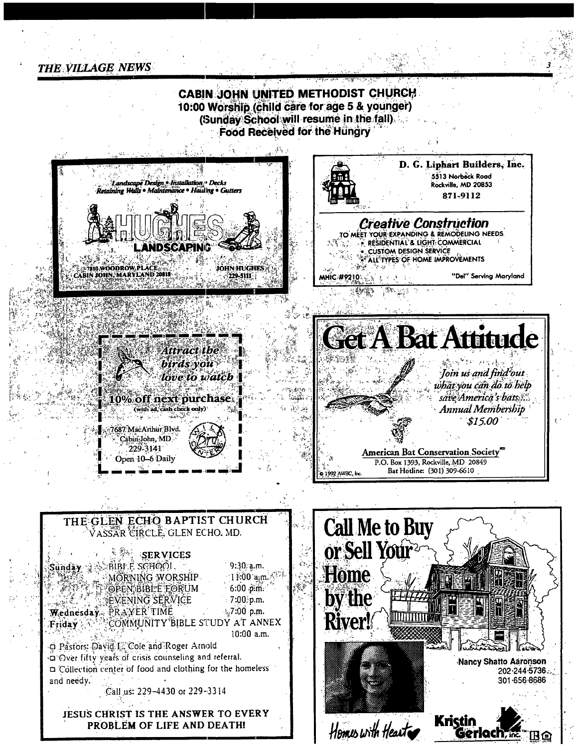**THE VILLAGE NEWS** 

**CABIN JOHN UNITED METHODIST CHURCH** 10:00 Worship (child care for age 5 & younger) (Sunday School will resume in the fall). Food Received for the Hungry

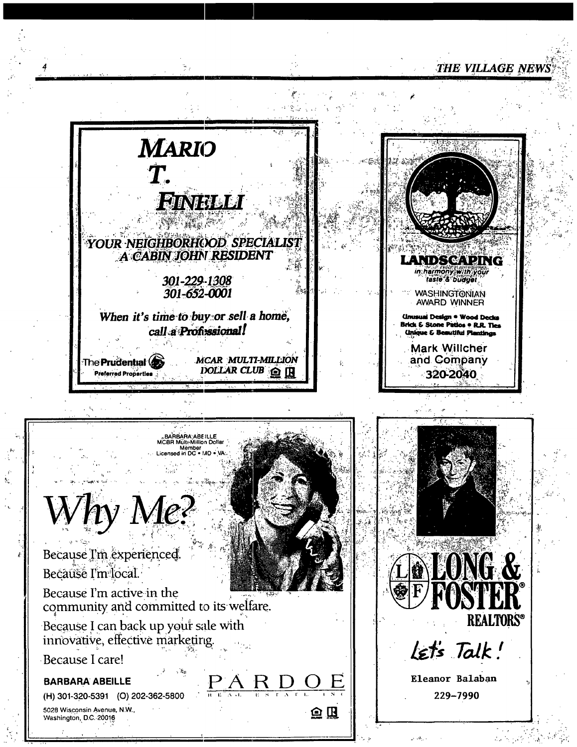#### THE VILLAGE NEWS



白瓜



Because I'm experienced. Because I'm local Because I'm active in the community and committed to its welfare. Because I can back up your sale with innovative, effective marketing Because I care! **BARBARA ABEILLE** K I (H) 301-320-5391 (O) 202-362-5800

BARBARA ABEILLE<br>MCBR Mülte Million Dollar Member<br>Member<br>Ised in DC . IAD . VA:



5028 Wisconsin Avenue, N.W. Washington, D.C. 20016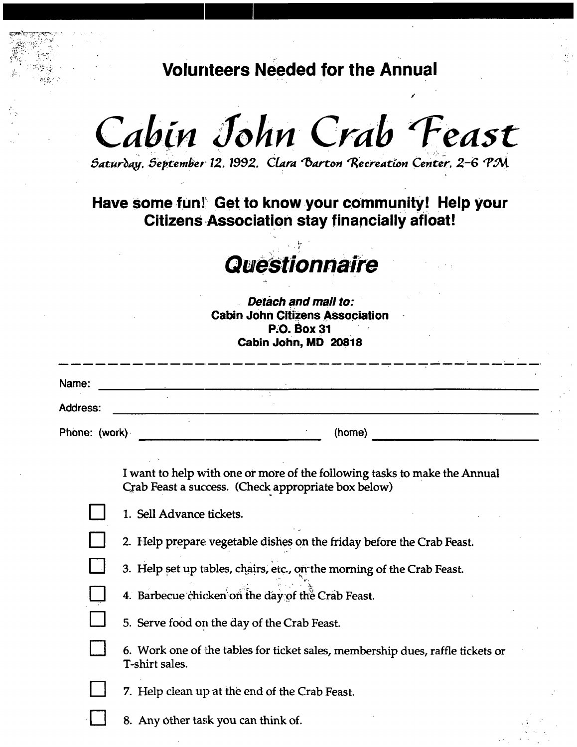**Volunteers Needed for the Annual** 

Cabin John Crab Feast

 $Satur\partial ay, September 12. 1992. Clara Barton Recreaction Center. 2-6 PM$ 

### Have some fun! Get to know your community! Help your **Citizens Association stay financially afloat!**

# **Questionnaire**

*Detach and mail to:*  **Cabin John Citizens Association P.O. Box 31 Cabin John, MD 20818** 

| VGWII VVIIII, MIV LUVIV |                                                                                                                                                                                                                                         |  |
|-------------------------|-----------------------------------------------------------------------------------------------------------------------------------------------------------------------------------------------------------------------------------------|--|
| Name:                   | <u> 1989 - Johann Harry Harry Harry Harry Harry Harry Harry Harry Harry Harry Harry Harry Harry Harry Harry Harry</u>                                                                                                                   |  |
| <b>Address:</b>         | <u> 1989 - Johann John Stone, markin film yn y sefydlu y sy'n y sy'n y sy'n gwyr y gynnwys y gwysgynu y sy'n gyn</u><br>the contract of the contract of the contract of the contract of the contract of the contract of the contract of |  |
| Phone: (work)           | (home)                                                                                                                                                                                                                                  |  |
|                         | I want to help with one or more of the following tasks to make the Annual<br>Crab Feast a success. (Check appropriate box below)                                                                                                        |  |
|                         | 1. Sell Advance tickets.                                                                                                                                                                                                                |  |
|                         | 2. Help prepare vegetable dishes on the friday before the Crab Feast.                                                                                                                                                                   |  |
|                         | 3. Help set up tables, chairs, etc., on the morning of the Crab Feast.                                                                                                                                                                  |  |
|                         | 4. Barbecue chicken on the day of the Crab Feast.                                                                                                                                                                                       |  |
|                         | 5. Serve food on the day of the Crab Feast.                                                                                                                                                                                             |  |
|                         | 6. Work one of the tables for ticket sales, membership dues, raffle tickets or<br>T-shirt sales.                                                                                                                                        |  |
|                         | 7. Help clean up at the end of the Crab Feast.                                                                                                                                                                                          |  |
|                         | 8. Any other task you can think of.                                                                                                                                                                                                     |  |

,. ,. ,